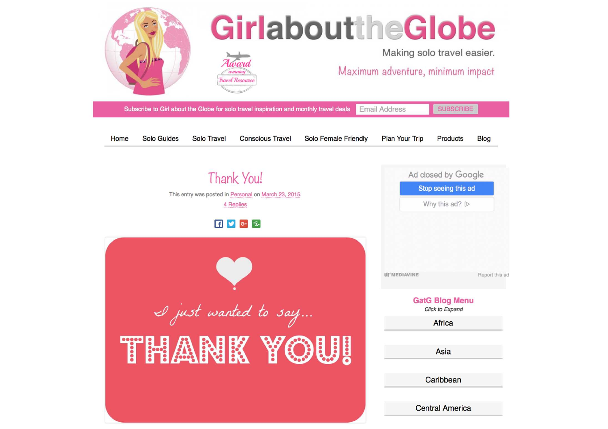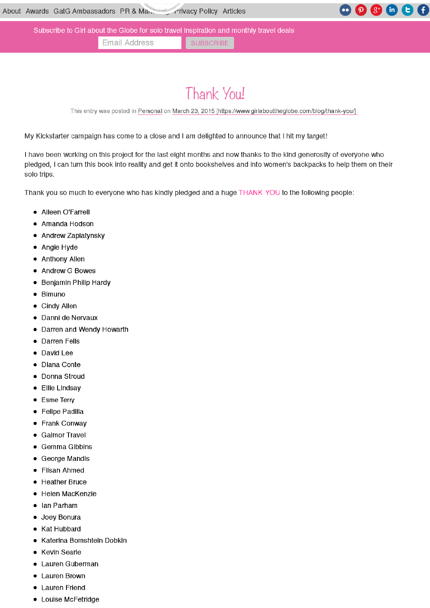Subscribe to Girl about the Globe for solo travel inspiration and monthly travel deals

Email Address **SUBSCRIBE** 

## Thank You!

This entry was posted in Personal on March 23, 2015 [https://www.girlabouttheglobe.com/blog/thank-you/]

My Kickstarter campaign has come to a close and <sup>I</sup> am delighted to announce that <sup>I</sup> hit my target!

<sup>I</sup> have been working on this project for the last eight months and now thanks to the kind generosity of everyone who pledged, <sup>I</sup> can turn this book into reality and get it onto bookshelves and into women's backpacks to help them on their solo trips.

Thank you so much to everyone who has kindly pledged and a huge THANK YOU to the following people:

- Aileen O'Farrell
- Amanda Hodson
- Andrew Zaplatynsky
- $\bullet$ Angie Hyde
- Anthony Allen
- Andrew G Bowes
- $\bullet$ Benjamin Philip Hardy
- $\bullet$  Bimuno
- $\bullet$  Cindy Allen
- Danni de Nervaux
- Darren and Wendy Howarth
- Darren Fells
- David Lee
- Diana Conte
- Donna Stroud
- Ellie Lindsay
- Esme Terry
- $\bullet$ Felipe Padilla
- Frank Conway
- Galmor Travel
- Gemma Gibbins
- George Mandis
- Filsan Ahmed
- Heather Bruce
- Helen MacKenzie
- Ian Parham
- Joey Bonura
- Kat Hubbard
- Katerina Bomshtein Dobkin
- Kevin Searle
- Lauren Guberman
- Lauren Brown
- Lauren Friend
- Louise McFetridge